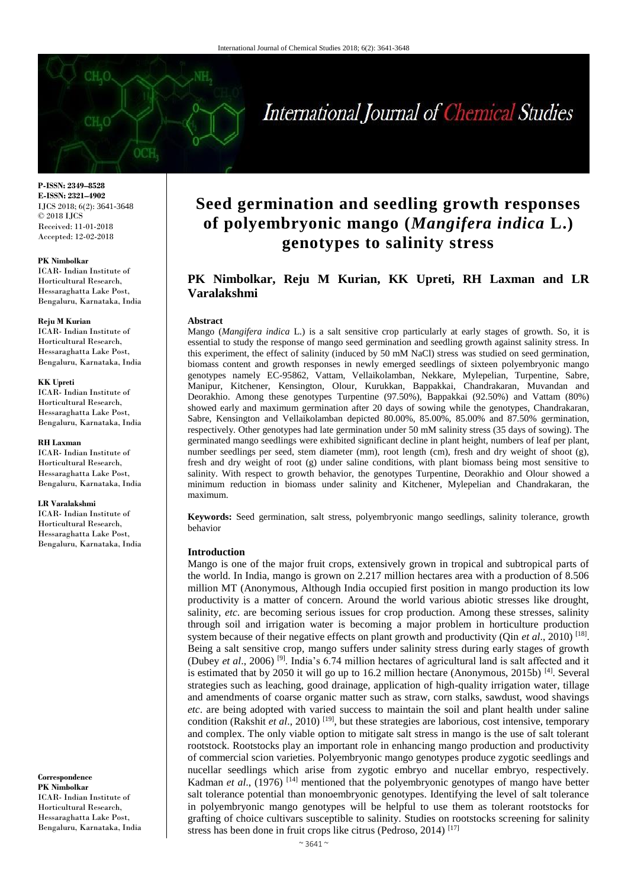# International Journal of Chemical Studies

**P-ISSN: 2349–8528 E-ISSN: 2321–4902** IJCS 2018; 6(2): 3641-3648 © 2018 IJCS Received: 11-01-2018 Accepted: 12-02-2018

#### **PK Nimbolkar**

ICAR- Indian Institute of Horticultural Research, Hessaraghatta Lake Post, Bengaluru, Karnataka, India

#### **Reju M Kurian**

ICAR- Indian Institute of Horticultural Research, Hessaraghatta Lake Post, Bengaluru, Karnataka, India

#### **KK Upreti**

ICAR- Indian Institute of Horticultural Research, Hessaraghatta Lake Post, Bengaluru, Karnataka, India

#### **RH Laxman**

ICAR- Indian Institute of Horticultural Research, Hessaraghatta Lake Post, Bengaluru, Karnataka, India

#### **LR Varalakshmi**

ICAR- Indian Institute of Horticultural Research, Hessaraghatta Lake Post, Bengaluru, Karnataka, India

**Correspondence PK Nimbolkar** ICAR- Indian Institute of Horticultural Research, Hessaraghatta Lake Post, Bengaluru, Karnataka, India

## **Seed germination and seedling growth responses of polyembryonic mango (***Mangifera indica* **L.) genotypes to salinity stress**

## **PK Nimbolkar, Reju M Kurian, KK Upreti, RH Laxman and LR Varalakshmi**

#### **Abstract**

Mango (*Mangifera indica* L.) is a salt sensitive crop particularly at early stages of growth. So, it is essential to study the response of mango seed germination and seedling growth against salinity stress. In this experiment, the effect of salinity (induced by 50 mM NaCl) stress was studied on seed germination, biomass content and growth responses in newly emerged seedlings of sixteen polyembryonic mango genotypes namely EC-95862, Vattam, Vellaikolamban, Nekkare, Mylepelian, Turpentine, Sabre, Manipur, Kitchener, Kensington, Olour, Kurukkan, Bappakkai, Chandrakaran, Muvandan and Deorakhio. Among these genotypes Turpentine (97.50%), Bappakkai (92.50%) and Vattam (80%) showed early and maximum germination after 20 days of sowing while the genotypes, Chandrakaran, Sabre, Kensington and Vellaikolamban depicted 80.00%, 85.00%, 85.00% and 87.50% germination, respectively. Other genotypes had late germination under 50 mM salinity stress (35 days of sowing). The germinated mango seedlings were exhibited significant decline in plant height, numbers of leaf per plant, number seedlings per seed, stem diameter (mm), root length (cm), fresh and dry weight of shoot (g), fresh and dry weight of root (g) under saline conditions, with plant biomass being most sensitive to salinity. With respect to growth behavior, the genotypes Turpentine, Deorakhio and Olour showed a minimum reduction in biomass under salinity and Kitchener, Mylepelian and Chandrakaran, the maximum.

**Keywords:** Seed germination, salt stress, polyembryonic mango seedlings, salinity tolerance, growth behavior

#### **Introduction**

Mango is one of the major fruit crops, extensively grown in tropical and subtropical parts of the world. In India, mango is grown on 2.217 million hectares area with a production of 8.506 million MT (Anonymous, Although India occupied first position in mango production its low productivity is a matter of concern. Around the world various abiotic stresses like drought, salinity, *etc.* are becoming serious issues for crop production. Among these stresses, salinity through soil and irrigation water is becoming a major problem in horticulture production system because of their negative effects on plant growth and productivity (Qin *et al.*, 2010)<sup>[18]</sup>. Being a salt sensitive crop, mango suffers under salinity stress during early stages of growth (Dubey *et al*., 2006) [9]. India's 6.74 million hectares of agricultural land is salt affected and it is estimated that by 2050 it will go up to 16.2 million hectare (Anonymous, 2015b)  $[4]$ . Several strategies such as leaching, good drainage, application of high-quality irrigation water, tillage and amendments of coarse organic matter such as straw, corn stalks, sawdust, wood shavings *etc*. are being adopted with varied success to maintain the soil and plant health under saline condition (Rakshit *et al.*, 2010)<sup>[19]</sup>, but these strategies are laborious, cost intensive, temporary and complex. The only viable option to mitigate salt stress in mango is the use of salt tolerant rootstock. Rootstocks play an important role in enhancing mango production and productivity of commercial scion varieties. Polyembryonic mango genotypes produce zygotic seedlings and nucellar seedlings which arise from zygotic embryo and nucellar embryo, respectively. Kadman *et al.*, (1976)<sup>[14]</sup> mentioned that the polyembryonic genotypes of mango have better salt tolerance potential than monoembryonic genotypes. Identifying the level of salt tolerance in polyembryonic mango genotypes will be helpful to use them as tolerant rootstocks for grafting of choice cultivars susceptible to salinity. Studies on rootstocks screening for salinity stress has been done in fruit crops like citrus (Pedroso, 2014) [17]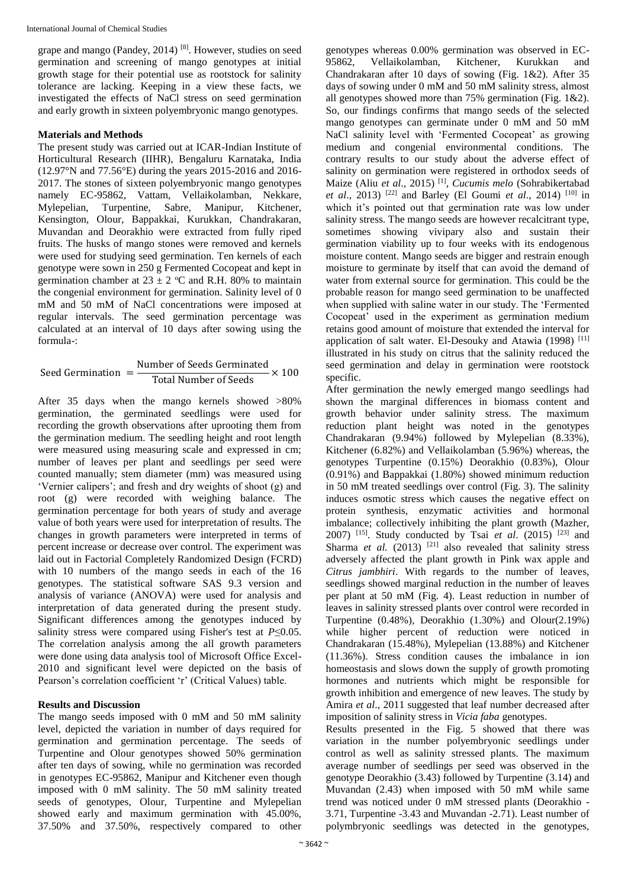grape and mango (Pandey, 2014) [8]. However, studies on seed germination and screening of mango genotypes at initial growth stage for their potential use as rootstock for salinity tolerance are lacking. Keeping in a view these facts, we investigated the effects of NaCl stress on seed germination and early growth in sixteen polyembryonic mango genotypes.

### **Materials and Methods**

The present study was carried out at ICAR-Indian Institute of Horticultural Research (IIHR), Bengaluru Karnataka, India (12.97°N and 77.56°E) during the years 2015-2016 and 2016- 2017. The stones of sixteen polyembryonic mango genotypes namely EC-95862, Vattam, Vellaikolamban, Nekkare, Mylepelian, Turpentine, Sabre, Manipur, Kitchener, Kensington, Olour, Bappakkai, Kurukkan, Chandrakaran, Muvandan and Deorakhio were extracted from fully riped fruits. The husks of mango stones were removed and kernels were used for studying seed germination. Ten kernels of each genotype were sown in 250 g Fermented Cocopeat and kept in germination chamber at  $23 \pm 2$  °C and R.H. 80% to maintain the congenial environment for germination. Salinity level of 0 mM and 50 mM of NaCl concentrations were imposed at regular intervals. The seed germination percentage was calculated at an interval of 10 days after sowing using the formula-:

Seed Germanation = 
$$
\frac{\text{Number of Seeds Germinated}}{\text{Total Number of Seeds}} \times 100
$$

After 35 days when the mango kernels showed >80% germination, the germinated seedlings were used for recording the growth observations after uprooting them from the germination medium. The seedling height and root length were measured using measuring scale and expressed in cm; number of leaves per plant and seedlings per seed were counted manually; stem diameter (mm) was measured using 'Vernier calipers'; and fresh and dry weights of shoot (g) and root (g) were recorded with weighing balance. The germination percentage for both years of study and average value of both years were used for interpretation of results. The changes in growth parameters were interpreted in terms of percent increase or decrease over control. The experiment was laid out in Factorial Completely Randomized Design (FCRD) with 10 numbers of the mango seeds in each of the 16 genotypes. The statistical software SAS 9.3 version and analysis of variance (ANOVA) were used for analysis and interpretation of data generated during the present study. Significant differences among the genotypes induced by salinity stress were compared using Fisher's test at  $P \le 0.05$ . The correlation analysis among the all growth parameters were done using data analysis tool of Microsoft Office Excel-2010 and significant level were depicted on the basis of Pearson's correlation coefficient 'r' (Critical Values) table.

## **Results and Discussion**

The mango seeds imposed with 0 mM and 50 mM salinity level, depicted the variation in number of days required for germination and germination percentage. The seeds of Turpentine and Olour genotypes showed 50% germination after ten days of sowing, while no germination was recorded in genotypes EC-95862, Manipur and Kitchener even though imposed with 0 mM salinity. The 50 mM salinity treated seeds of genotypes, Olour, Turpentine and Mylepelian showed early and maximum germination with 45.00%, 37.50% and 37.50%, respectively compared to other

genotypes whereas 0.00% germination was observed in EC-95862, Vellaikolamban, Kitchener, Kurukkan Chandrakaran after 10 days of sowing (Fig. 1&2). After 35 days of sowing under 0 mM and 50 mM salinity stress, almost all genotypes showed more than 75% germination (Fig. 1&2). So, our findings confirms that mango seeds of the selected mango genotypes can germinate under 0 mM and 50 mM NaCl salinity level with 'Fermented Cocopeat' as growing medium and congenial environmental conditions. The contrary results to our study about the adverse effect of salinity on germination were registered in orthodox seeds of Maize (Aliu *et al*., 2015) [1] , *Cucumis melo* (Sohrabikertabad *et al.*, 2013) <sup>[22]</sup> and Barley (El Goumi *et al.*, 2014) <sup>[10]</sup> in which it's pointed out that germination rate was low under salinity stress. The mango seeds are however recalcitrant type, sometimes showing vivipary also and sustain their germination viability up to four weeks with its endogenous moisture content. Mango seeds are bigger and restrain enough moisture to germinate by itself that can avoid the demand of water from external source for germination. This could be the probable reason for mango seed germination to be unaffected when supplied with saline water in our study. The 'Fermented Cocopeat' used in the experiment as germination medium retains good amount of moisture that extended the interval for application of salt water. El-Desouky and Atawia (1998) [11] illustrated in his study on citrus that the salinity reduced the seed germination and delay in germination were rootstock specific.

After germination the newly emerged mango seedlings had shown the marginal differences in biomass content and growth behavior under salinity stress. The maximum reduction plant height was noted in the genotypes Chandrakaran (9.94%) followed by Mylepelian (8.33%), Kitchener (6.82%) and Vellaikolamban (5.96%) whereas, the genotypes Turpentine (0.15%) Deorakhio (0.83%), Olour (0.91%) and Bappakkai (1.80%) showed minimum reduction in 50 mM treated seedlings over control (Fig. 3). The salinity induces osmotic stress which causes the negative effect on protein synthesis, enzymatic activities and hormonal imbalance; collectively inhibiting the plant growth (Mazher, 2007) <sup>[15]</sup>. Study conducted by Tsai *et al.* (2015) <sup>[23]</sup> and Sharma *et al.*  $(2013)$ <sup>[21]</sup> also revealed that salinity stress adversely affected the plant growth in Pink wax apple and *Citrus jambhiri*. With regards to the number of leaves, seedlings showed marginal reduction in the number of leaves per plant at 50 mM (Fig. 4). Least reduction in number of leaves in salinity stressed plants over control were recorded in Turpentine  $(0.48\%)$ , Deorakhio  $(1.30\%)$  and Olour $(2.19\%)$ while higher percent of reduction were noticed in Chandrakaran (15.48%), Mylepelian (13.88%) and Kitchener (11.36%). Stress condition causes the imbalance in ion homeostasis and slows down the supply of growth promoting hormones and nutrients which might be responsible for growth inhibition and emergence of new leaves. The study by Amira *et al*., 2011 suggested that leaf number decreased after imposition of salinity stress in *Vicia faba* genotypes.

Results presented in the Fig. 5 showed that there was variation in the number polyembryonic seedlings under control as well as salinity stressed plants. The maximum average number of seedlings per seed was observed in the genotype Deorakhio (3.43) followed by Turpentine (3.14) and Muvandan (2.43) when imposed with 50 mM while same trend was noticed under 0 mM stressed plants (Deorakhio - 3.71, Turpentine -3.43 and Muvandan -2.71). Least number of polymbryonic seedlings was detected in the genotypes,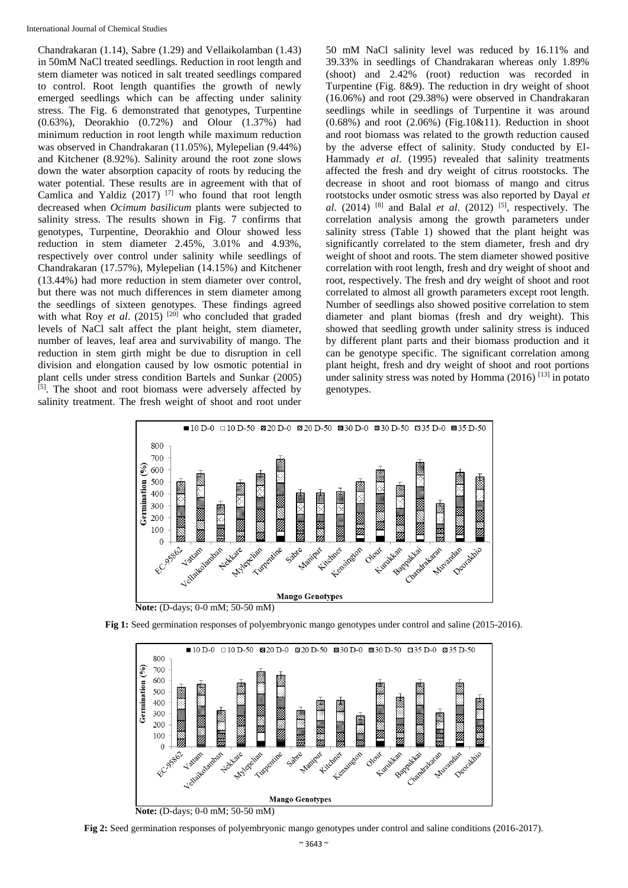Chandrakaran (1.14), Sabre (1.29) and Vellaikolamban (1.43) in 50mM NaCl treated seedlings. Reduction in root length and stem diameter was noticed in salt treated seedlings compared to control. Root length quantifies the growth of newly emerged seedlings which can be affecting under salinity stress. The Fig. 6 demonstrated that genotypes, Turpentine (0.63%), Deorakhio (0.72%) and Olour (1.37%) had minimum reduction in root length while maximum reduction was observed in Chandrakaran (11.05%), Mylepelian (9.44%) and Kitchener (8.92%). Salinity around the root zone slows down the water absorption capacity of roots by reducing the water potential. These results are in agreement with that of Camlica and Yaldiz  $(2017)$  <sup>[7]</sup> who found that root length decreased when *Ocimum basilicum* plants were subjected to salinity stress. The results shown in Fig. 7 confirms that genotypes, Turpentine, Deorakhio and Olour showed less reduction in stem diameter 2.45%, 3.01% and 4.93%, respectively over control under salinity while seedlings of Chandrakaran (17.57%), Mylepelian (14.15%) and Kitchener (13.44%) had more reduction in stem diameter over control, but there was not much differences in stem diameter among the seedlings of sixteen genotypes. These findings agreed with what Roy *et al.* (2015)<sup>[20]</sup> who concluded that graded levels of NaCl salt affect the plant height, stem diameter, number of leaves, leaf area and survivability of mango. The reduction in stem girth might be due to disruption in cell division and elongation caused by low osmotic potential in plant cells under stress condition Bartels and Sunkar (2005) [5]. The shoot and root biomass were adversely affected by salinity treatment. The fresh weight of shoot and root under

50 mM NaCl salinity level was reduced by 16.11% and 39.33% in seedlings of Chandrakaran whereas only 1.89% (shoot) and 2.42% (root) reduction was recorded in Turpentine (Fig. 8&9). The reduction in dry weight of shoot (16.06%) and root (29.38%) were observed in Chandrakaran seedlings while in seedlings of Turpentine it was around  $(0.68\%)$  and root  $(2.06\%)$  (Fig.10&11). Reduction in shoot and root biomass was related to the growth reduction caused by the adverse effect of salinity. Study conducted by El-Hammady *et al*. (1995) revealed that salinity treatments affected the fresh and dry weight of citrus rootstocks. The decrease in shoot and root biomass of mango and citrus rootstocks under osmotic stress was also reported by Dayal *et al.* (2014) <sup>[8]</sup> and Balal *et al.* (2012) <sup>[5]</sup>, respectively. The correlation analysis among the growth parameters under salinity stress (Table 1) showed that the plant height was significantly correlated to the stem diameter, fresh and dry weight of shoot and roots. The stem diameter showed positive correlation with root length, fresh and dry weight of shoot and root, respectively. The fresh and dry weight of shoot and root correlated to almost all growth parameters except root length. Number of seedlings also showed positive correlation to stem diameter and plant biomas (fresh and dry weight). This showed that seedling growth under salinity stress is induced by different plant parts and their biomass production and it can be genotype specific. The significant correlation among plant height, fresh and dry weight of shoot and root portions under salinity stress was noted by Homma  $(2016)$ <sup>[13]</sup> in potato genotypes.







**Fig 2:** Seed germination responses of polyembryonic mango genotypes under control and saline conditions (2016-2017).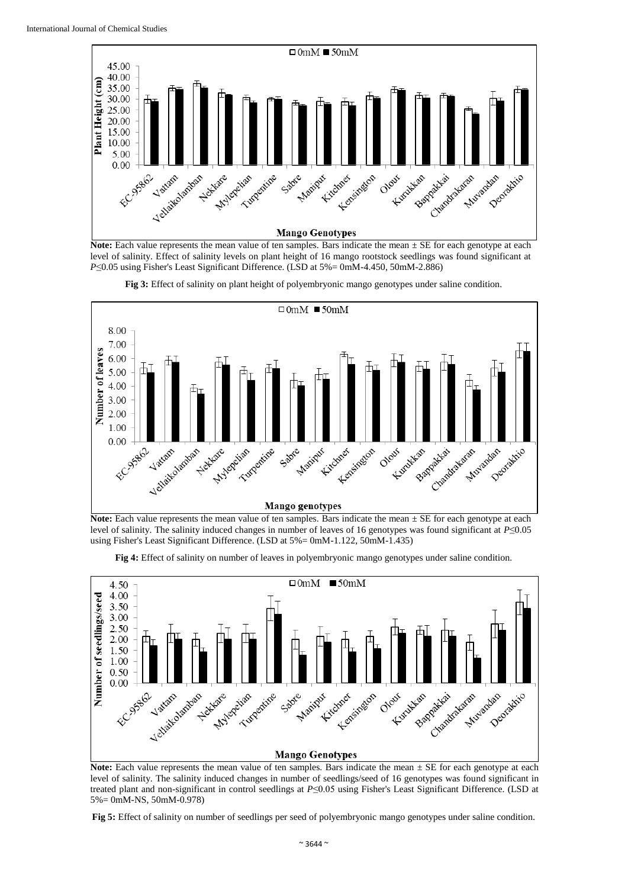

**Note:** Each value represents the mean value of ten samples. Bars indicate the mean  $\pm$  SE for each genotype at each level of salinity. Effect of salinity levels on plant height of 16 mango rootstock seedlings was found significant at *P*≤0.05 using Fisher's Least Significant Difference. (LSD at 5%= 0mM-4.450, 50mM-2.886)





**Note:** Each value represents the mean value of ten samples. Bars indicate the mean  $\pm$  SE for each genotype at each level of salinity. The salinity induced changes in number of leaves of 16 genotypes was found significant at *P*≤0.05 using Fisher's Least Significant Difference. (LSD at 5%= 0mM-1.122, 50mM-1.435)

**Fig 4:** Effect of salinity on number of leaves in polyembryonic mango genotypes under saline condition.



**Note:** Each value represents the mean value of ten samples. Bars indicate the mean  $\pm$  SE for each genotype at each level of salinity. The salinity induced changes in number of seedlings/seed of 16 genotypes was found significant in treated plant and non-significant in control seedlings at *P*≤0.05 using Fisher's Least Significant Difference. (LSD at 5%= 0mM-NS, 50mM-0.978)

**Fig 5:** Effect of salinity on number of seedlings per seed of polyembryonic mango genotypes under saline condition.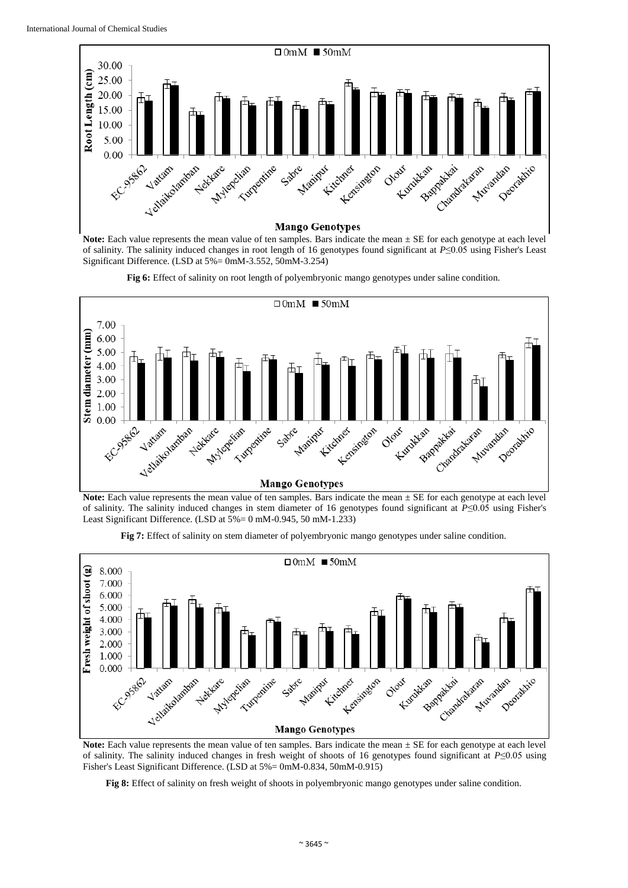

**Note:** Each value represents the mean value of ten samples. Bars indicate the mean  $\pm$  SE for each genotype at each level of salinity. The salinity induced changes in root length of 16 genotypes found significant at *P*≤0.05 using Fisher's Least Significant Difference. (LSD at 5%= 0mM-3.552, 50mM-3.254)





**Note:** Each value represents the mean value of ten samples. Bars indicate the mean  $\pm$  SE for each genotype at each level of salinity. The salinity induced changes in stem diameter of 16 genotypes found significant at *P*≤0.05 using Fisher's Least Significant Difference. (LSD at 5%= 0 mM-0.945, 50 mM-1.233)





Note: Each value represents the mean value of ten samples. Bars indicate the mean  $\pm$  SE for each genotype at each level of salinity. The salinity induced changes in fresh weight of shoots of 16 genotypes found significant at *P*≤0.05 using Fisher's Least Significant Difference. (LSD at 5%= 0mM-0.834, 50mM-0.915)

**Fig 8:** Effect of salinity on fresh weight of shoots in polyembryonic mango genotypes under saline condition.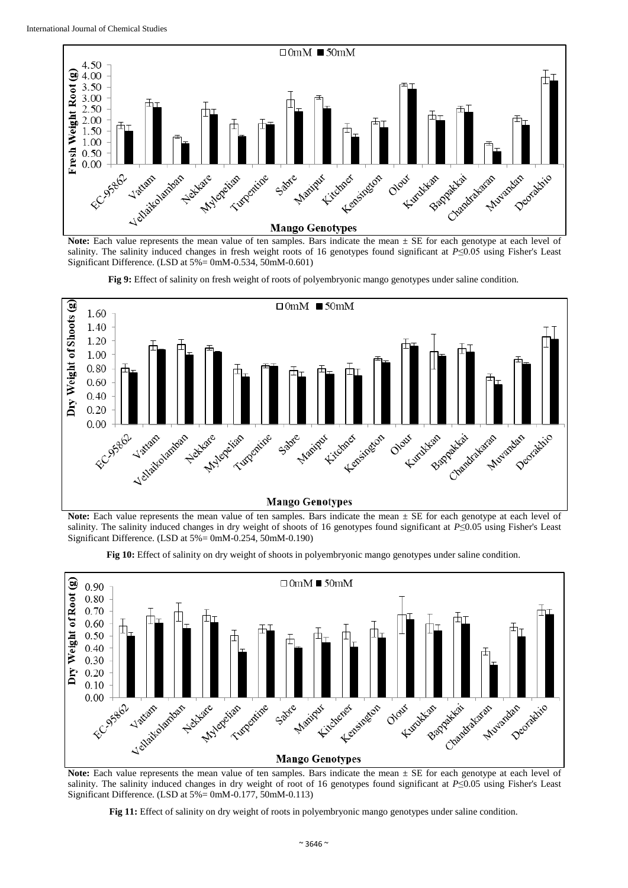

salinity. The salinity induced changes in fresh weight roots of 16 genotypes found significant at *P*≤0.05 using Fisher's Least Significant Difference. (LSD at 5%= 0mM-0.534, 50mM-0.601)





**Note:** Each value represents the mean value of ten samples. Bars indicate the mean  $\pm$  SE for each genotype at each level of salinity. The salinity induced changes in dry weight of shoots of 16 genotypes found significant at *P*≤0.05 using Fisher's Least Significant Difference. (LSD at 5%= 0mM-0.254, 50mM-0.190)





**Note:** Each value represents the mean value of ten samples. Bars indicate the mean  $\pm$  SE for each genotype at each level of salinity. The salinity induced changes in dry weight of root of 16 genotypes found significant at *P*≤0.05 using Fisher's Least Significant Difference. (LSD at 5%= 0mM-0.177, 50mM-0.113)

**Fig 11:** Effect of salinity on dry weight of roots in polyembryonic mango genotypes under saline condition.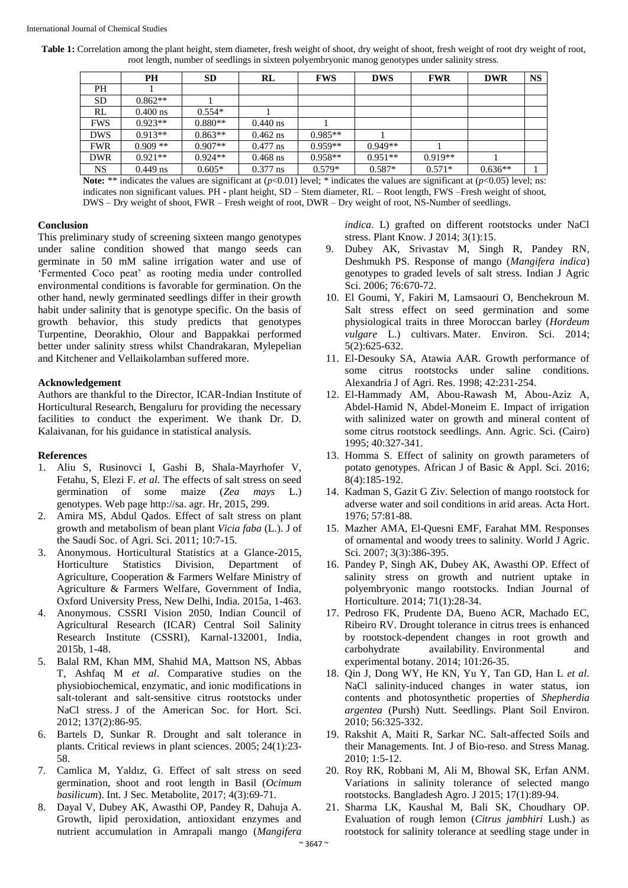**Table 1:** Correlation among the plant height, stem diameter, fresh weight of shoot, dry weight of shoot, fresh weight of root dry weight of root, root length, number of seedlings in sixteen polyembryonic manog genotypes under salinity stress.

|            | <b>PH</b>  | <b>SD</b> | RL         | <b>FWS</b> | <b>DWS</b> | <b>FWR</b> | <b>DWR</b> | <b>NS</b> |
|------------|------------|-----------|------------|------------|------------|------------|------------|-----------|
| <b>PH</b>  |            |           |            |            |            |            |            |           |
| <b>SD</b>  | $0.862**$  |           |            |            |            |            |            |           |
| RL         | $0.400$ ns | $0.554*$  |            |            |            |            |            |           |
| <b>FWS</b> | $0.923**$  | $0.880**$ | $0.440$ ns |            |            |            |            |           |
| <b>DWS</b> | $0.913**$  | $0.863**$ | $0.462$ ns | $0.985**$  |            |            |            |           |
| <b>FWR</b> | $0.909**$  | $0.907**$ | $0.477$ ns | $0.959**$  | $0.949**$  |            |            |           |
| <b>DWR</b> | $0.921**$  | $0.924**$ | $0.468$ ns | $0.958**$  | $0.951**$  | $0.919**$  |            |           |
| <b>NS</b>  | $0.449$ ns | $0.605*$  | $0.377$ ns | $0.579*$   | $0.587*$   | $0.571*$   | $0.636**$  |           |

**Note:** \*\* indicates the values are significant at  $(p<0.01)$  level; \* indicates the values are significant at  $(p<0.05)$  level; ns; indicates non significant values. PH **-** plant height, SD – Stem diameter, RL – Root length, FWS –Fresh weight of shoot, DWS – Dry weight of shoot, FWR – Fresh weight of root, DWR – Dry weight of root, NS-Number of seedlings.

## **Conclusion**

This preliminary study of screening sixteen mango genotypes under saline condition showed that mango seeds can germinate in 50 mM saline irrigation water and use of 'Fermented Coco peat' as rooting media under controlled environmental conditions is favorable for germination. On the other hand, newly germinated seedlings differ in their growth habit under salinity that is genotype specific. On the basis of growth behavior, this study predicts that genotypes Turpentine, Deorakhio, Olour and Bappakkai performed better under salinity stress whilst Chandrakaran, Mylepelian and Kitchener and Vellaikolamban suffered more.

#### **Acknowledgement**

Authors are thankful to the Director, ICAR-Indian Institute of Horticultural Research, Bengaluru for providing the necessary facilities to conduct the experiment. We thank Dr. D. Kalaivanan, for his guidance in statistical analysis.

#### **References**

- 1. Aliu S, Rusinovci I, Gashi B, Shala-Mayrhofer V, Fetahu, S, Elezi F. *et al*. The effects of salt stress on seed germination of some maize (*Zea mays* L.) genotypes. Web page http://sa. agr. Hr, 2015, 299.
- 2. Amira MS, Abdul Qados. Effect of salt stress on plant growth and metabolism of bean plant *Vicia faba* (L.). J of the Saudi Soc. of Agri. Sci. 2011; 10:7-15.
- 3. Anonymous. Horticultural Statistics at a Glance-2015, Horticulture Statistics Division, Department of Agriculture, Cooperation & Farmers Welfare Ministry of Agriculture & Farmers Welfare, Government of India, Oxford University Press, New Delhi, India. 2015a, 1-463.
- 4. Anonymous. CSSRI Vision 2050, Indian Council of Agricultural Research (ICAR) Central Soil Salinity Research Institute (CSSRI), Karnal-132001, India, 2015b, 1-48.
- 5. Balal RM, Khan MM, Shahid MA, Mattson NS, Abbas T, Ashfaq M *et al*. Comparative studies on the physiobiochemical, enzymatic, and ionic modifications in salt-tolerant and salt-sensitive citrus rootstocks under NaCl stress. J of the American Soc. for Hort. Sci. 2012; 137(2):86-95.
- 6. Bartels D, Sunkar R. Drought and salt tolerance in plants. Critical reviews in plant sciences. 2005; 24(1):23- 58.
- 7. Camlica M, Yaldız, G. Effect of salt stress on seed germination, shoot and root length in Basil (*Ocimum basilicum*). Int. J Sec. Metabolite, 2017; 4(3):69-71.
- 8. Dayal V, Dubey AK, Awasthi OP, Pandey R, Dahuja A. Growth, lipid peroxidation, antioxidant enzymes and nutrient accumulation in Amrapali mango (*Mangifera*

*indica*. L) grafted on different rootstocks under NaCl stress. Plant Know. J 2014; 3(1):15.

- 9. Dubey AK, Srivastav M, Singh R, Pandey RN, Deshmukh PS. Response of mango (*Mangifera indica*) genotypes to graded levels of salt stress. Indian J Agric Sci. 2006: 76:670-72.
- 10. El Goumi, Y, Fakiri M, Lamsaouri O, Benchekroun M. Salt stress effect on seed germination and some physiological traits in three Moroccan barley (*Hordeum vulgare* L.) cultivars. Mater. Environ. Sci. 2014; 5(2):625-632.
- 11. El-Desouky SA, Atawia AAR. Growth performance of some citrus rootstocks under saline conditions. Alexandria J of Agri. Res. 1998; 42:231-254.
- 12. El-Hammady AM, Abou-Rawash M, Abou-Aziz A, Abdel-Hamid N, Abdel-Moneim E. Impact of irrigation with salinized water on growth and mineral content of some citrus rootstock seedlings. Ann. Agric. Sci. (Cairo) 1995; 40:327-341.
- 13. Homma S. Effect of salinity on growth parameters of potato genotypes. African J of Basic & Appl. Sci. 2016; 8(4):185-192.
- 14. Kadman S, Gazit G Ziv. Selection of mango rootstock for adverse water and soil conditions in arid areas. Acta Hort. 1976; 57:81-88.
- 15. Mazher AMA, El-Quesni EMF, Farahat MM. Responses of ornamental and woody trees to salinity. World J Agric. Sci. 2007; 3(3):386-395.
- 16. Pandey P, Singh AK, Dubey AK, Awasthi OP. Effect of salinity stress on growth and nutrient uptake in polyembryonic mango rootstocks. Indian Journal of Horticulture. 2014; 71(1):28-34.
- 17. Pedroso FK, Prudente DA, Bueno ACR, Machado EC, Ribeiro RV. Drought tolerance in citrus trees is enhanced by rootstock-dependent changes in root growth and carbohydrate availability. Environmental and experimental botany. 2014; 101:26-35.
- 18. Qin J, Dong WY, He KN, Yu Y, Tan GD, Han L *et al*. NaCl salinity-induced changes in water status, ion contents and photosynthetic properties of *Shepherdia argentea* (Pursh) Nutt. Seedlings. Plant Soil Environ. 2010; 56:325-332.
- 19. Rakshit A, Maiti R, Sarkar NC. Salt-affected Soils and their Managements. Int. J of Bio-reso. and Stress Manag. 2010; 1:5-12.
- 20. Roy RK, Robbani M, Ali M, Bhowal SK, Erfan ANM. Variations in salinity tolerance of selected mango rootstocks. Bangladesh Agro. J 2015; 17(1):89-94.
- 21. Sharma LK, Kaushal M, Bali SK, Choudhary OP. Evaluation of rough lemon (*Citrus jambhiri* Lush.) as rootstock for salinity tolerance at seedling stage under in